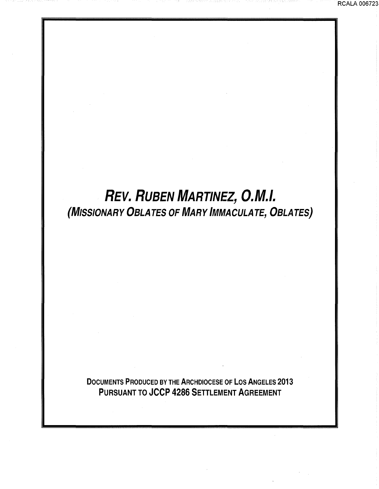RCALA 006723

# REV. RUBEN MARTINEZ, O.M.I. (MISSIONARY OBLATES OF MARY IMMACULATE, OBLATES)

DOCUMENTS PRODUCED BY THE ARCHDIOCESE OF LOS ANGELES 2013 PURSUANT TO JCCP 4286 SETTLEMENT AGREEMENT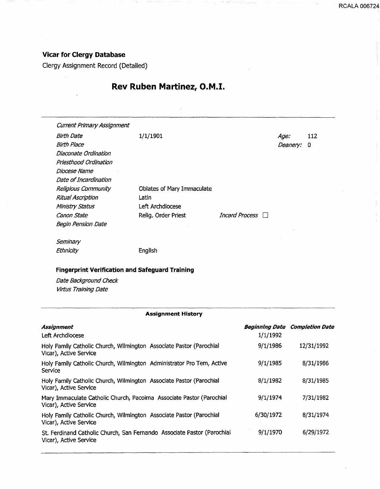## **Vicar for Clergy Database**

Clergy Assignment Record (Detailed)

## **Rev Ruben Martinez, O.M.I.**

Current Primary Assignment Birth Date 1/1/1901 Birth Place Diaconate Ordination Priesthood Ordination Diocese Name Date of Incardination Religious Community Ritual Ascription Ministry Status Oblates of Mary Immaculate Latin Age: 112 Deanery: 0 Canon State Left Archdiocese Relig. Order Priest *Incard Process* Begin Pension Date **Seminary** Ethnicity English **Fingerprint Verification and Safeguard Training** 

Date Background Check Virtus Training Date

### **Assignment History**

| Assignment<br>Left Archdiocese                                                                    | <b>Beginning Date</b><br>1/1/1992 | <b>Completion Date</b> |
|---------------------------------------------------------------------------------------------------|-----------------------------------|------------------------|
| Holy Family Catholic Church, Wilmington Associate Pastor (Parochial<br>Vicar), Active Service     | 9/1/1986                          | 12/31/1992             |
| Holy Family Catholic Church, Wilmington Administrator Pro Tem, Active<br>Service                  | 9/1/1985                          | 8/31/1986              |
| Holy Family Catholic Church, Wilmington Associate Pastor (Parochial<br>Vicar), Active Service     | 8/1/1982                          | 8/31/1985              |
| Mary Immaculate Catholic Church, Pacoima Associate Pastor (Parochial<br>Vicar), Active Service    | 9/1/1974                          | 7/31/1982              |
| Holy Family Catholic Church, Wilmington Associate Pastor (Parochial<br>Vicar), Active Service     | 6/30/1972                         | 8/31/1974              |
| St. Ferdinand Catholic Church, San Fernando Associate Pastor (Parochial<br>Vicar), Active Service | 9/1/1970                          | 6/29/1972              |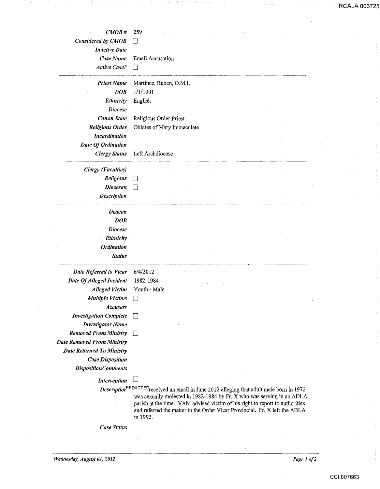**RCALA 006725** 

0.

| CMOB#                             | 259                                                                                                                                                                                                                                                                                                                                          |  |
|-----------------------------------|----------------------------------------------------------------------------------------------------------------------------------------------------------------------------------------------------------------------------------------------------------------------------------------------------------------------------------------------|--|
| Considered by CMOB                |                                                                                                                                                                                                                                                                                                                                              |  |
| <b>Inactive Date</b>              |                                                                                                                                                                                                                                                                                                                                              |  |
|                                   | Case Name Email Accusation                                                                                                                                                                                                                                                                                                                   |  |
| <b>Active Case?</b>               |                                                                                                                                                                                                                                                                                                                                              |  |
| <b>Priest Name</b>                | Martinez, Ruben, O.M.I.                                                                                                                                                                                                                                                                                                                      |  |
| <b>DOB</b>                        | 1/1/1901                                                                                                                                                                                                                                                                                                                                     |  |
| Ethnicity                         | English                                                                                                                                                                                                                                                                                                                                      |  |
| <b>Diocese</b>                    |                                                                                                                                                                                                                                                                                                                                              |  |
| <b>Canon State</b>                | Religious Order Priest                                                                                                                                                                                                                                                                                                                       |  |
| Religious Order                   | Oblates of Mary Immaculate                                                                                                                                                                                                                                                                                                                   |  |
| <b>Incardination</b>              |                                                                                                                                                                                                                                                                                                                                              |  |
| Date Of Ordination                |                                                                                                                                                                                                                                                                                                                                              |  |
| <b>Clergy Status</b>              | Left Archdiocese                                                                                                                                                                                                                                                                                                                             |  |
| <b>Clergy</b> (Faculties)         |                                                                                                                                                                                                                                                                                                                                              |  |
| Religious                         |                                                                                                                                                                                                                                                                                                                                              |  |
| <b>Diocesan</b>                   |                                                                                                                                                                                                                                                                                                                                              |  |
| <b>Description</b>                |                                                                                                                                                                                                                                                                                                                                              |  |
| <b>Deacon</b>                     |                                                                                                                                                                                                                                                                                                                                              |  |
| DOB                               |                                                                                                                                                                                                                                                                                                                                              |  |
| <b>Diocese</b>                    |                                                                                                                                                                                                                                                                                                                                              |  |
| - Ethnicity                       |                                                                                                                                                                                                                                                                                                                                              |  |
| <b>Ordination</b>                 |                                                                                                                                                                                                                                                                                                                                              |  |
| <b>Status</b>                     |                                                                                                                                                                                                                                                                                                                                              |  |
| Date Referred to Vicar            | 6/4/2012                                                                                                                                                                                                                                                                                                                                     |  |
| Date Of Alleged Incident          | 1982-1984                                                                                                                                                                                                                                                                                                                                    |  |
| <b>Alleged Victim</b>             | Youth - Male                                                                                                                                                                                                                                                                                                                                 |  |
| <b>Multiple Victims</b>           | ٦                                                                                                                                                                                                                                                                                                                                            |  |
| Accusers                          |                                                                                                                                                                                                                                                                                                                                              |  |
| <b>Investigation Complete</b>     | $\vert$ $\vert$                                                                                                                                                                                                                                                                                                                              |  |
| <b>Investigator Name</b>          |                                                                                                                                                                                                                                                                                                                                              |  |
| <b>Removed From Ministry</b>      | П                                                                                                                                                                                                                                                                                                                                            |  |
| <b>Date Removed From Ministry</b> |                                                                                                                                                                                                                                                                                                                                              |  |
| <b>Date Returned To Ministry</b>  |                                                                                                                                                                                                                                                                                                                                              |  |
| <b>Case Disposition</b>           |                                                                                                                                                                                                                                                                                                                                              |  |
| <b>DispositionComments</b>        |                                                                                                                                                                                                                                                                                                                                              |  |
| <b>Intervention</b>               | $\Box$                                                                                                                                                                                                                                                                                                                                       |  |
|                                   | Description <sup>REDACTED</sup> received an email in June 2012 alleging that adult male born in 1972<br>was sexually molested in 1982-1984 by Fr. X who was serving in an ADLA<br>parish at the time. VAM advised victim of his right to report to authorities<br>and referred the matter to the Order Vicar Provincial. Fr. X left the ADLA |  |

*Case Status* 

in 1992.

*Wednesday, August 01, 2012 Page 1 of 2*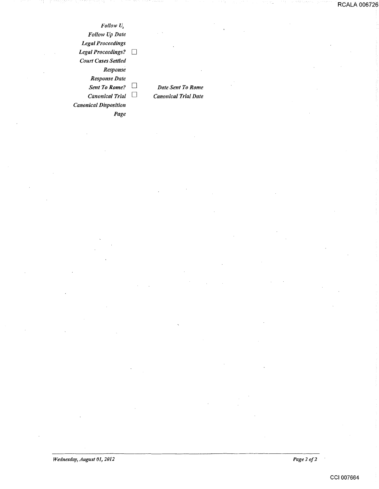*Follow U, Follow Up Date Legal Proceedings Legal Proceedings? Court Cases Settled Response Response Date Sent To Rome?* D *Canonical Trial* D *Canonical Disposition Page* 

*Date Sent To Rome Canonical Trial Date*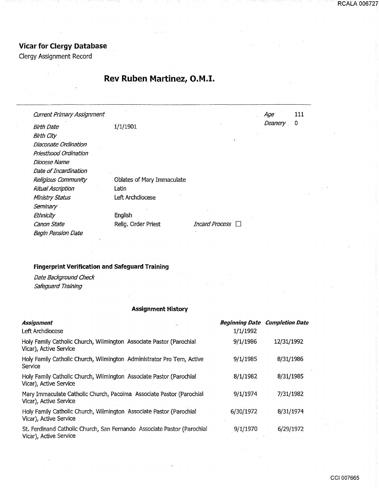## **Vicar for Clergy Database**

Clergy Assignment Record

# **Rev Ruben Martinez, O.M.I.**

| <b>Current Primary Assignment</b> |                            |                | Age     | 111 |
|-----------------------------------|----------------------------|----------------|---------|-----|
| <b>Birth Date</b>                 | 1/1/1901                   |                | Deanery | 0   |
| <b>Birth City</b>                 |                            |                |         |     |
| Diaconate Ordination              |                            |                |         |     |
| Priesthood Ordination             |                            |                |         |     |
| Diocese Name                      |                            |                |         |     |
| Date of Incardination             |                            |                |         |     |
| Religious Community               | Oblates of Mary Immaculate |                |         |     |
| <b>Ritual Ascription</b>          | Latin                      |                |         |     |
| <b>Ministry Status</b>            | Left Archdiocese           |                |         |     |
| Seminary                          |                            |                |         |     |
| Ethnicity                         | English                    |                |         |     |
| Canon State                       | Relig. Order Priest        | Incard Process |         |     |
| <b>Begin Pension Date</b>         |                            |                |         |     |

## **Fingerprint Verification and Safeguard Training**

Date Background Check Safeguard Training

## **Assignment History**

| <b>Assignment</b>                                                                                 |           | Beginning Date Completion Date |
|---------------------------------------------------------------------------------------------------|-----------|--------------------------------|
| Left Archdiocese                                                                                  | 1/1/1992  |                                |
| Holy Family Catholic Church, Wilmington Associate Pastor (Parochial<br>Vicar), Active Service     | 9/1/1986  | 12/31/1992                     |
| Holy Family Catholic Church, Wilmington Administrator Pro Tem, Active<br>Service                  | 9/1/1985  | 8/31/1986                      |
| Holy Family Catholic Church, Wilmington Associate Pastor (Parochial<br>Vicar), Active Service     | 8/1/1982  | 8/31/1985                      |
| Mary Immaculate Catholic Church, Pacoima Associate Pastor (Parochial<br>Vicar), Active Service    | 9/1/1974  | 7/31/1982                      |
| Holy Family Catholic Church, Wilmington Associate Pastor (Parochial<br>Vicar), Active Service     | 6/30/1972 | 8/31/1974                      |
| St. Ferdinand Catholic Church, San Fernando Associate Pastor (Parochial<br>Vicar), Active Service | 9/1/1970  | 6/29/1972                      |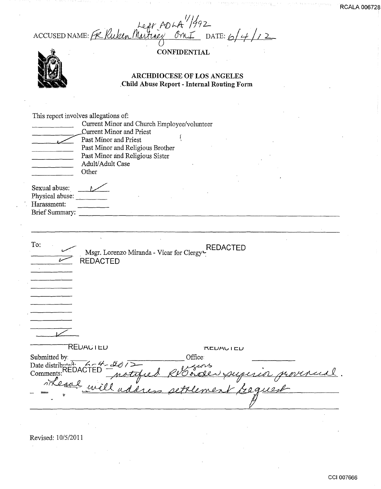n. 4f *\_N; i-./t: r;J/9* Zc-ACCUSED NAME:  $K$  Kuken Muttney On I DATE: 6/4/2

 $\overline{\phantom{a}}$ 

CONFIDENTIAL



## ARCHDIOCESE OF LOS ANGELES .Child Abuse Report- Internal Routing Form

| Sexual abuse:<br>Physical abuse:<br>Harassment:<br><b>Brief Summary:</b><br>To:<br><b>REDACTED</b><br>Msgr. Lorenzo Miranda - Vicar for Clergy<br><b>REDACTED</b><br><b>REDACTED</b><br><b>KLUAVILU</b><br>Office:<br>Submitted by<br>Date distributed: $4-4-40$<br><b>Comments:</b> | This report involves allegations of:<br>Current Minor and Church Employee/volunteer<br><b>Current Minor and Priest</b><br>Past Minor and Priest<br>Past Minor and Religious Brother<br>Past Minor and Religious Sister<br>Adult/Adult Case<br>Other |
|--------------------------------------------------------------------------------------------------------------------------------------------------------------------------------------------------------------------------------------------------------------------------------------|-----------------------------------------------------------------------------------------------------------------------------------------------------------------------------------------------------------------------------------------------------|
|                                                                                                                                                                                                                                                                                      |                                                                                                                                                                                                                                                     |
|                                                                                                                                                                                                                                                                                      |                                                                                                                                                                                                                                                     |
|                                                                                                                                                                                                                                                                                      |                                                                                                                                                                                                                                                     |
|                                                                                                                                                                                                                                                                                      | Theone will address settlement beguest                                                                                                                                                                                                              |

Revised: 10/5/2011  $\mathcal{L}_{\mathcal{A}}$ 

 $\mathcal{L}$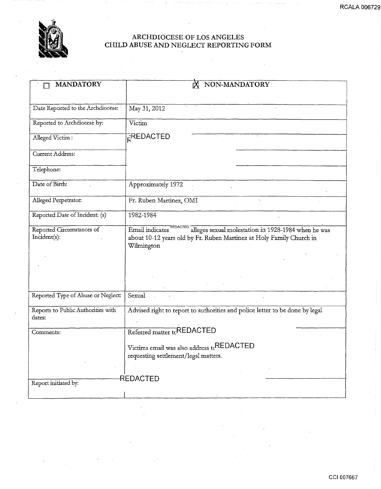

## ARCHDIOCESE OF LOS ANGELES CHILD ABUSE AND NEGLECT REPORTING FORM

| <b>MANDATORY</b>                             | NON-MANDATORY                                                                                                                                                      |  |  |
|----------------------------------------------|--------------------------------------------------------------------------------------------------------------------------------------------------------------------|--|--|
|                                              |                                                                                                                                                                    |  |  |
| Date Reported to the Archdiocese:            | May 31, 2012                                                                                                                                                       |  |  |
|                                              |                                                                                                                                                                    |  |  |
| Reported to Archdiocese by:                  | Victim                                                                                                                                                             |  |  |
| Alleged Victim:                              | FREDACTED                                                                                                                                                          |  |  |
| Current Address:                             |                                                                                                                                                                    |  |  |
| Telephone:                                   |                                                                                                                                                                    |  |  |
| Date of Birth:                               | Approximately 1972                                                                                                                                                 |  |  |
| Alleged Perpetrator:                         | Fr. Ruben Martinez, OMI                                                                                                                                            |  |  |
| Reported Date of Incident: (s)               | 1982-1984                                                                                                                                                          |  |  |
| Reported Circumstances of<br>Incident(s):    | Email indicates REDACTED alleges sexual molestation in 1928-1984 when he was<br>about 10-12 years old by Fr. Ruben Martinez at Holy Family Church in<br>Wilmington |  |  |
|                                              |                                                                                                                                                                    |  |  |
| Reported Type of Abuse or Neglect:           | Sexual                                                                                                                                                             |  |  |
| Reports to Public Authorities with<br>dates: | Advised right to report to authorities and police letter to be done by legal                                                                                       |  |  |
| Comments:                                    | Referred matter tcREDACTED                                                                                                                                         |  |  |
|                                              | Victims email was also address tcREDACTED<br>requesting settlement/legal matters.                                                                                  |  |  |
|                                              |                                                                                                                                                                    |  |  |
| Report initiated by:                         | <b>REDACTED</b>                                                                                                                                                    |  |  |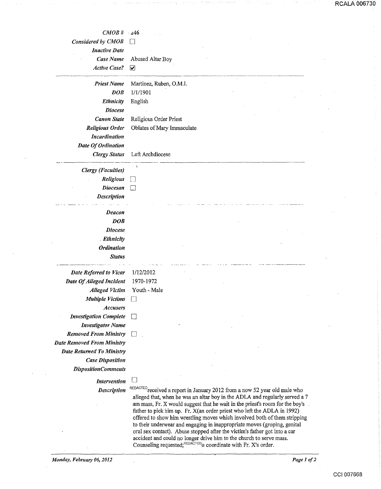| $CMOB \# 446$                     |                                                                                                                                                            |
|-----------------------------------|------------------------------------------------------------------------------------------------------------------------------------------------------------|
| Considered by CMOB                |                                                                                                                                                            |
| <b>Inactive Date</b>              |                                                                                                                                                            |
| Case Name                         | Abused Altar Boy                                                                                                                                           |
| <b>Active Case?</b>               | ☑                                                                                                                                                          |
|                                   |                                                                                                                                                            |
| <b>Priest Name</b>                | Martinez, Ruben, O.M.I.                                                                                                                                    |
| <b>DOB</b>                        | 1/1/1901                                                                                                                                                   |
| Ethnicity                         | English                                                                                                                                                    |
| <b>Diocese</b>                    |                                                                                                                                                            |
| <b>Canon State</b>                | Religious Order Priest                                                                                                                                     |
| <b>Religious Order</b>            | Oblates of Mary Immaculate                                                                                                                                 |
| <b>Incardination</b>              |                                                                                                                                                            |
| Date Of Ordination                |                                                                                                                                                            |
| <b>Clergy Status</b>              | Left Archdiocese                                                                                                                                           |
| <b>Clergy</b> (Faculties)         | ١                                                                                                                                                          |
| Religious                         |                                                                                                                                                            |
| <b>Diocesan</b>                   | Li                                                                                                                                                         |
| <b>Description</b>                |                                                                                                                                                            |
|                                   |                                                                                                                                                            |
| Deacon                            |                                                                                                                                                            |
| <b>DOB</b>                        |                                                                                                                                                            |
| <b>Diocese</b>                    |                                                                                                                                                            |
| <b>Ethnicity</b>                  |                                                                                                                                                            |
| <b>Ordination</b>                 |                                                                                                                                                            |
| <b>Status</b>                     |                                                                                                                                                            |
|                                   |                                                                                                                                                            |
| Date Referred to Vicar            | 1/12/2012                                                                                                                                                  |
| Date Of Alleged Incident          | 1970-1972                                                                                                                                                  |
| <b>Alleged Victim</b>             | Youth - Male                                                                                                                                               |
| <b>Multiple Victims</b>           | $\Box$                                                                                                                                                     |
| <b>Accusers</b>                   |                                                                                                                                                            |
| <b>Investigation Complete</b>     |                                                                                                                                                            |
| <b>Investigator Name</b>          |                                                                                                                                                            |
| <b>Removed From Ministry</b>      |                                                                                                                                                            |
| <b>Date Removed From Ministry</b> |                                                                                                                                                            |
| <b>Date Returned To Ministry</b>  |                                                                                                                                                            |
| <b>Case Disposition</b>           |                                                                                                                                                            |
| <b>DispositionComments</b>        |                                                                                                                                                            |
| <b>Intervention</b>               |                                                                                                                                                            |
| <b>Description</b>                | REDACTED received a report in January 2012 from a now 52 year old male who                                                                                 |
|                                   | alleged that, when he was an altar boy in the ADLA and regularly served a 7<br>am mass. Fr. Y would suggest that he wait in the prior compare for the hove |

am mass, Fr. X would suggest that he wait in the priest's room for the boy's father to pick him up. Fr. X(an order priest who left the ADLA in 1992) offered to show him wrestling moves which involved both of them stripping to their underwear and engaging in inappropriate moves (groping, genital oral sex contact). Abuse stopped after the victim's father got into a car accident and could no longer drive him to the church to serve mass. Counseling requested; $REDACTED$  coordinate with Fr. X's order.

RCALA 006730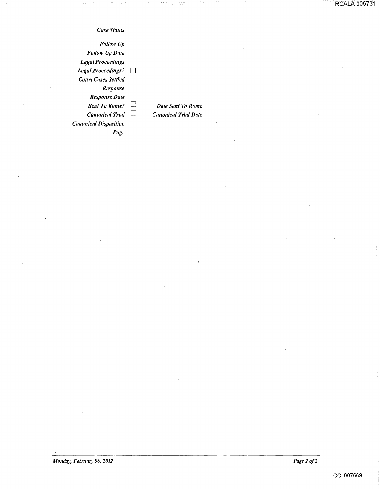### *Case Status*

*Follow Up Follow Up Date Legal Proceedings*  Legal Proceedings? *Court Cases Settled Response Response Date Sent To Rome?*  $\Box$ *Canonical Trial* D *Canonical Disposition Page* 

*Date Sent To Rome Canonical Trial Date* 

*Monday, February 06, 2012* 

 $\sim$ 

*Page 2 of2*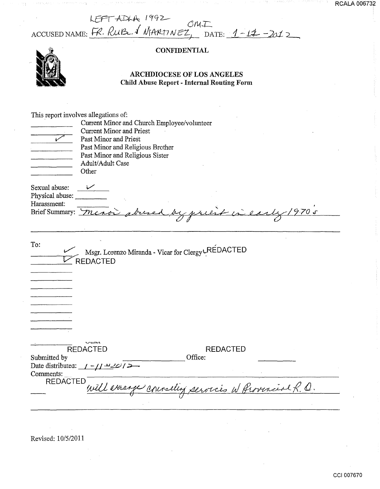| LFFT ADLA 1992<br>Ani T                           |  |
|---------------------------------------------------|--|
| ACCUSED NAME: FR. RUB & MARTINEZ, DATE: 1-17-2012 |  |

## **CONFIDENTIAL**

## ARCHDIOCESE OF LOS ANGELES Child Abuse Report - Internal Routing Form

| مما                                                                    | This report involves allegations of:<br>Current Minor and Church Employee/volunteer<br><b>Current Minor and Priest</b><br>Past Minor and Priest<br>Past Minor and Religious Brother<br>Past Minor and Religious Sister<br>Adult/Adult Case<br>Other |
|------------------------------------------------------------------------|-----------------------------------------------------------------------------------------------------------------------------------------------------------------------------------------------------------------------------------------------------|
| Sexual abuse:<br>Physical abuse:<br>Harassment:<br>Brief Summary: Meno | $\frac{V}{V}$<br>obreve<br>9.70s<br>be preest in early                                                                                                                                                                                              |
| To:                                                                    | Msgr. Lorenzo Miranda - Vicar for Clergy LREDACTED<br><b>REDACTED</b>                                                                                                                                                                               |
| Submitted by<br>Comments:<br><b>REDACTED</b>                           | <b>REDACTED</b><br><b>REDACTED</b><br>Office:<br>Date distributed: $1 - 11 - 201 =$<br>will errange counseling services w Provencial R. O.                                                                                                          |

Revised: 10/5/2011

 $\mathbf{r}$ 

 $\sim$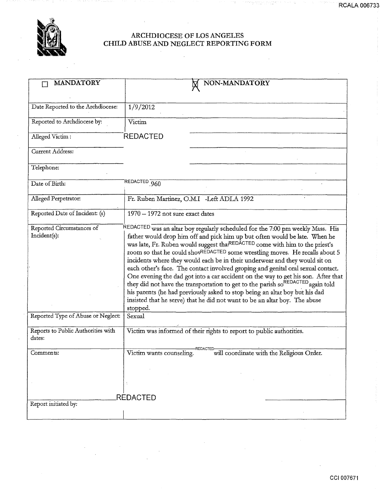

## ARCHDIOCESE OF LOS ANGELES CHILD ABUSE AND NEGLECT REPORTING FORM

| <b>MANDATORY</b>                             |                                                                                                                                                                                                                                                                                                                                                                                                                                                                                                                                                                                                                                                                                                                                                                                                                                                             |  |  |
|----------------------------------------------|-------------------------------------------------------------------------------------------------------------------------------------------------------------------------------------------------------------------------------------------------------------------------------------------------------------------------------------------------------------------------------------------------------------------------------------------------------------------------------------------------------------------------------------------------------------------------------------------------------------------------------------------------------------------------------------------------------------------------------------------------------------------------------------------------------------------------------------------------------------|--|--|
|                                              | NON-MANDATORY                                                                                                                                                                                                                                                                                                                                                                                                                                                                                                                                                                                                                                                                                                                                                                                                                                               |  |  |
|                                              |                                                                                                                                                                                                                                                                                                                                                                                                                                                                                                                                                                                                                                                                                                                                                                                                                                                             |  |  |
| Date Reported to the Archdiocese:            | 1/9/2012                                                                                                                                                                                                                                                                                                                                                                                                                                                                                                                                                                                                                                                                                                                                                                                                                                                    |  |  |
| Reported to Archdiocese by:                  | Victim                                                                                                                                                                                                                                                                                                                                                                                                                                                                                                                                                                                                                                                                                                                                                                                                                                                      |  |  |
| Alleged Victim:                              | <b>REDACTED</b>                                                                                                                                                                                                                                                                                                                                                                                                                                                                                                                                                                                                                                                                                                                                                                                                                                             |  |  |
| Current Address:                             |                                                                                                                                                                                                                                                                                                                                                                                                                                                                                                                                                                                                                                                                                                                                                                                                                                                             |  |  |
| Telephone:                                   |                                                                                                                                                                                                                                                                                                                                                                                                                                                                                                                                                                                                                                                                                                                                                                                                                                                             |  |  |
| Date of Birth:                               | REDACTED <sub>.960</sub>                                                                                                                                                                                                                                                                                                                                                                                                                                                                                                                                                                                                                                                                                                                                                                                                                                    |  |  |
| Alleged Perpetrator:                         | Fr. Ruben Martinez, O.M.I -Left ADLA 1992                                                                                                                                                                                                                                                                                                                                                                                                                                                                                                                                                                                                                                                                                                                                                                                                                   |  |  |
| Reported Date of Incident: (s)               | 1970 - 1972 not sure exact dates                                                                                                                                                                                                                                                                                                                                                                                                                                                                                                                                                                                                                                                                                                                                                                                                                            |  |  |
| Reported Circumstances of<br>Incident(s):    | REDACTED was an altar boy regularly scheduled for the 7:00 pm weekly Mass. His<br>father would drop him off and pick him up but often would be late. When he<br>was late, Fr. Ruben would suggest thatREDACTED come with him to the priest's<br>room so that he could shovREDACTED some wrestling moves. He recalls about 5<br>incidents where they would each be in their underwear and they would sit on<br>each other's face. The contact involved groping and genital oral sexual contact.<br>One evening the dad got into a car accident on the way to get his son. After that<br>they did not have the transportation to get to the parish so <sup>REDACTED</sup> again told<br>his parents (he had previously asked to stop being an altar boy but his dad<br>insisted that he serve) that he did not want to be an altar boy. The abuse<br>stopped. |  |  |
| Reported Type of Abuse or Neglect:           | Sexual                                                                                                                                                                                                                                                                                                                                                                                                                                                                                                                                                                                                                                                                                                                                                                                                                                                      |  |  |
| Reports to Public Authorities with<br>dates: | Victim was informed of their rights to report to public authorities.                                                                                                                                                                                                                                                                                                                                                                                                                                                                                                                                                                                                                                                                                                                                                                                        |  |  |
| Comments:                                    | -REDACTED<br>Victim wants counseling.<br>will coordinate with the Religious Order.                                                                                                                                                                                                                                                                                                                                                                                                                                                                                                                                                                                                                                                                                                                                                                          |  |  |
|                                              |                                                                                                                                                                                                                                                                                                                                                                                                                                                                                                                                                                                                                                                                                                                                                                                                                                                             |  |  |
|                                              | <b>REDACTED</b>                                                                                                                                                                                                                                                                                                                                                                                                                                                                                                                                                                                                                                                                                                                                                                                                                                             |  |  |
| Report initiated by:                         |                                                                                                                                                                                                                                                                                                                                                                                                                                                                                                                                                                                                                                                                                                                                                                                                                                                             |  |  |

RCALA 006733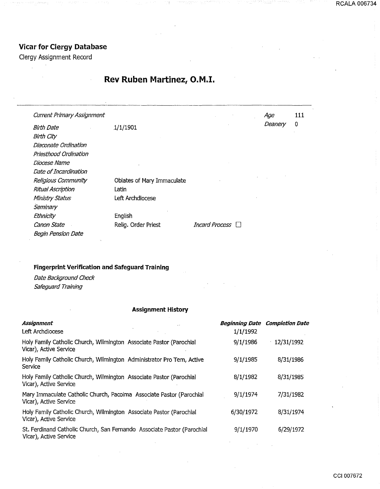# **Vicar for Clergy Database**

Clergy Assignment Record

 $\mathcal{A}$ 

# **Rev Ruben Martinez, O.M.I.**

| <b>Current Primary Assignment</b> |                            |                         | Age     | 111 |
|-----------------------------------|----------------------------|-------------------------|---------|-----|
| <b>Birth Date</b>                 | 1/1/1901                   |                         | Deanery | 0   |
| Birth City                        |                            |                         |         |     |
| Diaconate Ordination              |                            |                         |         |     |
| Priesthood Ordination             |                            |                         |         |     |
| Diocese Name                      |                            |                         |         |     |
| Date of Incardination             |                            |                         |         |     |
| Religious Community               | Oblates of Mary Immaculate |                         |         |     |
| <b>Ritual Ascription</b>          | Latin                      |                         |         |     |
| Ministry Status                   | Left Archdiocese           |                         |         |     |
| Seminary                          |                            |                         |         |     |
| Ethnicity                         | English                    |                         |         |     |
| Canon State                       | Relig. Order Priest        | <i>Incard Process</i> □ |         |     |
| Begin Pension Date                |                            |                         |         |     |

## **Fingerprint Verification and Safeguard Training**

Date Background Check Safeguard Training

## **Assignment History**

| Assignment<br>Left Archdiocese                                                                    | <b>Beginning Date</b><br>1/1/1992 | <i><b>Completion Date</b></i> |
|---------------------------------------------------------------------------------------------------|-----------------------------------|-------------------------------|
| Holy Family Catholic Church, Wilmington Associate Pastor (Parochial<br>Vicar), Active Service     | 9/1/1986                          | 12/31/1992                    |
| Holy Family Catholic Church, Wilmington Administrator Pro Tem, Active<br>Service                  | 9/1/1985                          | 8/31/1986                     |
| Holy Family Catholic Church, Wilmington Associate Pastor (Parochial<br>Vicar), Active Service     | 8/1/1982                          | 8/31/1985                     |
| Mary Immaculate Catholic Church, Pacoima Associate Pastor (Parochial<br>Vicar), Active Service    | 9/1/1974                          | 7/31/1982                     |
| Holy Family Catholic Church, Wilmington Associate Pastor (Parochial<br>Vicar), Active Service     | 6/30/1972                         | 8/31/1974                     |
| St. Ferdinand Catholic Church, San Fernando Associate Pastor (Parochial<br>Vicar), Active Service | 9/1/1970                          | 6/29/1972                     |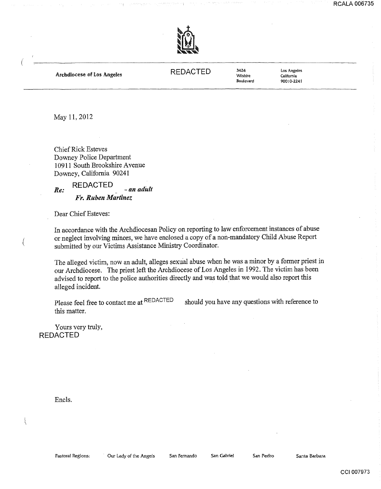

Archdiocese of Los Angeles

REDACTED <sup>3424</sup>

Wilshire Boulevard los Angeles California 90010-2241

May 11, 2012

Chief Rick Esteves Downey Police Department 10911 South Brookshire Avenue Downey, California 90241

REDACTED *Re: -an adult Fr. Ruben Martinez* 

Dear Chief Esteves:

In accordance with the Archdiocesan Policy on reporting to law enforcement instances of abuse or neglect involving minors, we have enclosed a copy of a non-mandatory Child Abuse Report submitted by our Victims Assistance Ministry Coordinator.

The alleged victim, now an adult, alleges sexual abuse when he was a minor by a fonner priest in our Archdiocese. The priest left the Archdiocese of Los Angeles in 1992. The victim has been advised to report to the police authorities directly and was told that we would also report this alleged incident.

Please feel free to contact me at REDACTED this matter. should you have any questions with reference to

Yours very truly, REDACTED

Encls.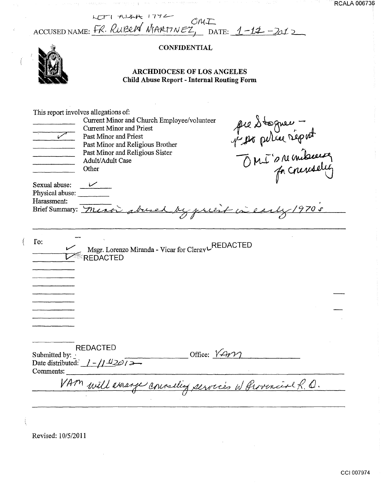ACCUSED NAME: FR. RUBEN MARTINEZ, DATE: 1-12-2012

아이 회사 지역은 이번 사람이 어려워 주었다.

## **CONFIDENTIAL**



## ARCHDIOCESE OF LOS ANGELES Child Abuse Report -Internal Routing Form

| This report involves allegations of:<br>ممره<br>Sexual abuse:<br>Physical abuse:<br>Harassment: | Current Minor and Church Employee/volunteer<br><b>Current Minor and Priest</b><br>Past Minor and Priest<br>Past Minor and Religious Brother<br>Past Minor and Religious Sister<br>Adult/Adult Case<br>Other<br>Brief Summary: Meros abuse | pre Stogner -<br>par peller réport<br>970s<br>by priest in e |
|-------------------------------------------------------------------------------------------------|-------------------------------------------------------------------------------------------------------------------------------------------------------------------------------------------------------------------------------------------|--------------------------------------------------------------|
| $\Gamma$ o:                                                                                     | Msgr. Lorenzo Miranda - Vicar for Clergy LREDACTED<br><b>REDACTED</b>                                                                                                                                                                     |                                                              |
| Submitted by:<br>Comments:                                                                      | <b>REDACTED</b><br>Date distributed: $1 - 1/1.42$ $\omega$ / $\omega$<br>VAM will verange connelling services w Grovenial R.O.                                                                                                            | Office: $V$ Ar $V$                                           |

Revised: 10/5/2011

 $\overline{\mathfrak{t}}$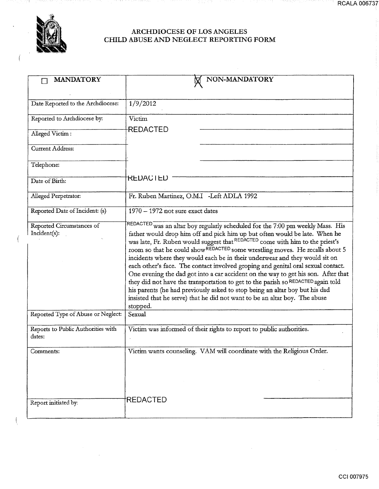1116

a da kuma a wasa wakazi

91.

Í

 $\left\{ \right.$ 

## ARCHDIOCESE OF LOS ANGELES CHILD ABUSE AND NEGLECT REPORTING FORM

| <b>MANDATORY</b>                             | NON-MANDATORY                                                                                                                                                                                                                                                                                                                                                                                                                                                                                                                                                                                                                                                                                                                                                                                                                                                |
|----------------------------------------------|--------------------------------------------------------------------------------------------------------------------------------------------------------------------------------------------------------------------------------------------------------------------------------------------------------------------------------------------------------------------------------------------------------------------------------------------------------------------------------------------------------------------------------------------------------------------------------------------------------------------------------------------------------------------------------------------------------------------------------------------------------------------------------------------------------------------------------------------------------------|
|                                              |                                                                                                                                                                                                                                                                                                                                                                                                                                                                                                                                                                                                                                                                                                                                                                                                                                                              |
| Date Reported to the Archdiocese:            | 1/9/2012                                                                                                                                                                                                                                                                                                                                                                                                                                                                                                                                                                                                                                                                                                                                                                                                                                                     |
| Reported to Archdiocese by:                  | Victim                                                                                                                                                                                                                                                                                                                                                                                                                                                                                                                                                                                                                                                                                                                                                                                                                                                       |
| Alleged Victim:                              | REDACTED                                                                                                                                                                                                                                                                                                                                                                                                                                                                                                                                                                                                                                                                                                                                                                                                                                                     |
| Current Address:                             |                                                                                                                                                                                                                                                                                                                                                                                                                                                                                                                                                                                                                                                                                                                                                                                                                                                              |
| Telephone:                                   |                                                                                                                                                                                                                                                                                                                                                                                                                                                                                                                                                                                                                                                                                                                                                                                                                                                              |
| Date of Birth:                               | <b>REDACIED</b>                                                                                                                                                                                                                                                                                                                                                                                                                                                                                                                                                                                                                                                                                                                                                                                                                                              |
| Alleged Perpetrator:                         | Fr. Ruben Martinez, O.M.I -Left ADLA 1992                                                                                                                                                                                                                                                                                                                                                                                                                                                                                                                                                                                                                                                                                                                                                                                                                    |
| Reported Date of Incident: (s)               | 1970 - 1972 not sure exact dates                                                                                                                                                                                                                                                                                                                                                                                                                                                                                                                                                                                                                                                                                                                                                                                                                             |
| Reported Circumstances of<br>Incident(s):    | REDACTED was an altar boy regularly scheduled for the 7:00 pm weekly Mass. His<br>father would drop him off and pick him up but often would be late. When he<br>was late, Fr. Ruben would suggest that REDACTED come with him to the priest's<br>room so that he could show REDACTED some wrestling moves. He recalls about 5<br>incidents where they would each be in their underwear and they would sit on<br>each other's face. The contact involved groping and genital oral sexual contact.<br>One evening the dad got into a car accident on the way to get his son. After that<br>they did not have the transportation to get to the parish so REDACTED again told<br>his parents (he had previously asked to stop being an altar boy but his dad<br>insisted that he serve) that he did not want to be an altar boy. The abuse<br>stopped.<br>Sexual |
| Reported Type of Abuse or Neglect:           |                                                                                                                                                                                                                                                                                                                                                                                                                                                                                                                                                                                                                                                                                                                                                                                                                                                              |
| Reports to Public Authorities with<br>dates: | Victim was informed of their rights to report to public authorities.                                                                                                                                                                                                                                                                                                                                                                                                                                                                                                                                                                                                                                                                                                                                                                                         |
| Comments:                                    | Victim wants counseling. VAM will coordinate with the Religious Order.                                                                                                                                                                                                                                                                                                                                                                                                                                                                                                                                                                                                                                                                                                                                                                                       |
| Report initiated by:                         | <b>REDACTED</b>                                                                                                                                                                                                                                                                                                                                                                                                                                                                                                                                                                                                                                                                                                                                                                                                                                              |

RCALA 006737

ang ny p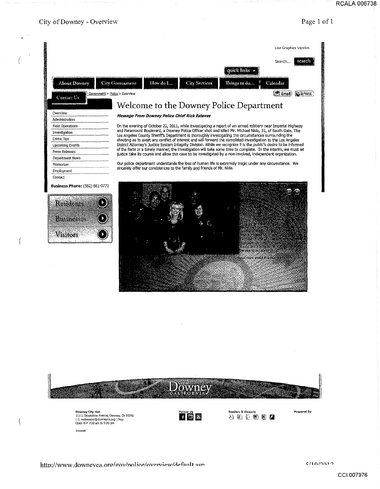## RCALA 006738



![](_page_15_Figure_2.jpeg)

\.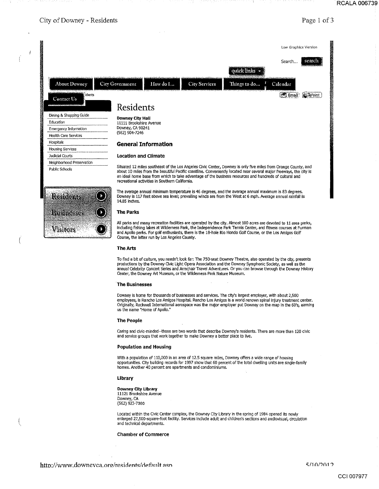## City of Downey - Residents **Page 1 of 3**

Å  $\mathfrak{f}% _{k}$ 

![](_page_16_Figure_4.jpeg)

#### **The People**

Caring and civic-minded--those are two words that describe Downey's residents. There are more than 120 civic and service groups that work together to make Downey a better place to live.

#### **Population and Housing**

With a population of 110,000 in an area of 12.5 square miles, Downey offers a wide range of housing opportunities. City building records for 1997 show that 60 percent of the total dwelling units are single-family homes. Another 40 percent are apartments and condominiums.

#### **Library**

#### **Downey City Library**  11121 Brookshire Avenue Downey, CA (562) 923-7360

Located within the Civic Center complex, the Downey City Library in the spring of 1984 opened its newly enlarged 27,500-square-foot facility. Services include adult and children's sections and audiovisual, circulation and technical departments.

#### **Chamber of Commerce**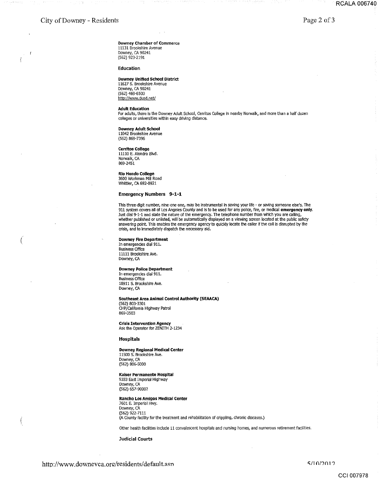$\big($ 

 $\sqrt{ }$ ţ

Oowney Chamber of Commerce 11131 Brookshire Avenue Downey, CA 90241 (562) 923-2.191

Education

#### Downey Unified School District

11627 S. Brookshire Avenue Downey, CA 90241 (562) 469-6500 htto://www.dusd.net/

#### Adult Education

For adults, there is the Downey Adult School, Cerritos College in nearby Norwalk, and more than a half dozen colleges or universities within easy driving distance.

#### Downey Adult School

11042 Brookshire Avenue (562) 869-7396

#### Cerritos College

11110 E. Alondra Blvd. Norwalk, CA 869-2451

#### Rio Hondo College 3600 Workman Mill Road Whittier, CA 692-0921

#### Emergency Numbers 9-1-1

This three-digit number, nine-one-one, may be instrumental in saving your life - or saving someone else's. The<br>911 system covers all of Los Angeles County and is to be used for any police, fire, or medical **emergency only** Just dial 9-1-1 and state the nature of the emergency. The telephone number from which you are calling,<br>whether published or unlisted, will be automatically displayed on a viewing screen located at the public safety<br>answer crisis, and to immediately dispatch the necessary aid.

#### Downey Fire Department

In emergendes dial 911. Business Office 11111 Brookshire Ave. Downey, CA

#### Downey Police Department

In emergendes dial 911. Business Office 10911 S. Brookshire Ave. Downey, CA

#### Southeast Area Animal Control Authority (SEAACA)

(562) 803-3301 CHP/California Highway Patrol 869-0503

#### Crisis Intervention Agency Ask the Operator for ZENITH 2-1234

Hospitals

### Downey Regional Medical Center

11500 S. Brookshire Ave. Downey, CA (562) 806-5000

#### Kaiser Permanente Hospital

9333 East Imperial Highway Downey, CA (562) 657-9000?

#### Rancho Los Amigos Medical Center

7601 E. Imperial Hwy. Downey, CA (562) 922:-7111 (A County facility for the treatment and rehabilitation of crippling, chronic diseases.)

Other health facilities include 11 convalescent hospitals and nursing homes, and numerous retirement facilities.

Judicial Courts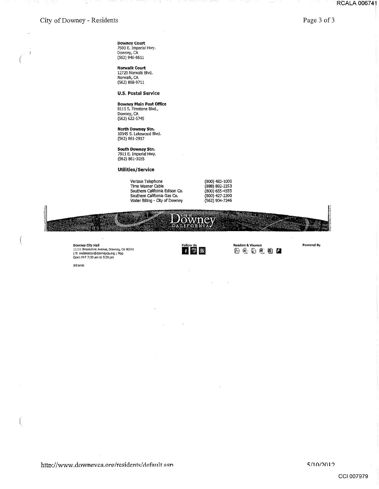$\overline{1}$ 

 $\left($ 

Page 3 of 3

**Downey Court**  7500 E. Imperial Hwy. Downey, CA (562) 940-8611

**Norwalk Court**  12720 Norwalk Blvd. Norwalk, CA (562) 868-9711

**u.s. Postal Service** 

#### **Downey Main Post Office**

8111 s. Firestone Blvd., Downey, CA (562) 622-5745

**North Downey Stn.**  10345 s. Lakewood Blvd. (562) 861-2917

**South Downey Stn.**  7911 E. Imperial Hwy. (562) 861-3035

### **Utilities /Service**

Verizon Telephone Time Warner Cable Southern California Edison co. Southern California Gas CO. Water Bllling - Oty of Downey

(800) 483-1000 (888) 892-2253 (800) 655-4555 (800) 427-2200 (562) 904-7246

**Readers &. Viewers** Powered By

tt:J ~ l}.ll @\_\_; @il *tJ* 

![](_page_18_Picture_13.jpeg)

Follow Us<br>**Ed | Si | Si |** 

**Downey City Hall Follow Use**<br>11111 Brookshire Avenue, Downey, CA 90241<br>| E: webmaster@downeyca.org | Map **III | International Contract Contract Contract Contract Contract Contract Contra<br>Open M-F 7:30 am to 5:30 pm** 

**Intranet**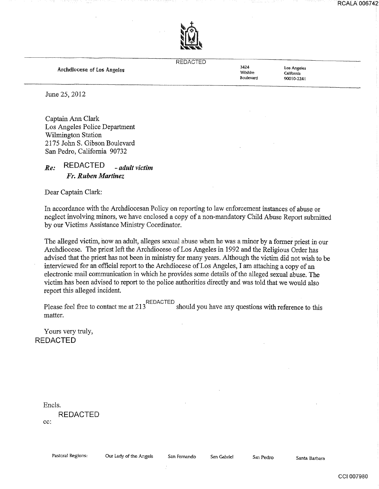![](_page_19_Picture_1.jpeg)

### REDACTED

Archdlocese of Los Angeles

3424 Wilshire Boulevard

los Angeles California 90010-2241

June 25, 2012

Captain Ann Clark Los Angeles Police Department Wilmington Station 2175 John S. Gibson Boulevard San Pedro, California 90732

## *Re:* REDACTED *-adult victim Fr. Ruben Martinez*

Dear Captain Clark:

In accordance with the Archdiocesan Policy on reporting to law enforcement instances of abuse or neglect involving minors, we have enclosed a copy of a non-mandatory Child Abuse Report submitted by our Victims Assistance Ministry Coordinator.

The alleged victim, how an adult, alleges sexual abuse when he was a minor by a former priest in our Archdiocese. The priest left the Archdiocese of Los Angeles in 1992 and the Religious Order has advised that the priest has not been in ministry for many years. Although the victim did not wish to be interviewed for an official report to the Archdiocese of Los Angeles, I am attaching a copy of an electronic mail communication in which he provides some details of the alleged sexual abuse. The victim has been advised to report to the police authorities directly and was told that we would also report this alleged incident.

Please feel free to contact me at 213<sup>REDACTED</sup> should you have any questions with reference to this matter.

Yours very truly, REDACTED

Encls.

REDACTED cc:

CCI 007980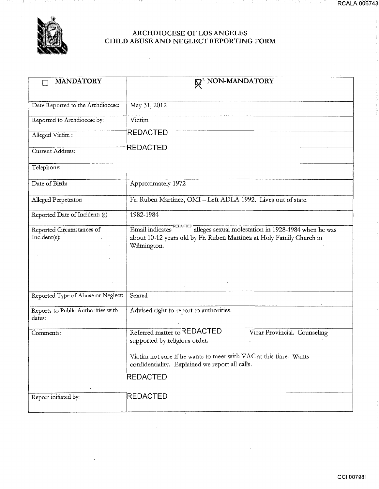![](_page_20_Picture_0.jpeg)

27.73

 $\sim$ 

의.

## ARCHDIOCESE OF LOS ANGELES CHILD ABUSE AND NEGLECT REPORTING FORM

| <b>MANDATORY</b>                   | <b>N</b> <sup>*</sup> NON-MANDATORY                                                                                 |
|------------------------------------|---------------------------------------------------------------------------------------------------------------------|
|                                    |                                                                                                                     |
| Date Reported to the Archdiocese:  | May 31, 2012                                                                                                        |
| Reported to Archdiocese by:        | Victim                                                                                                              |
| Alleged Victim:                    | REDACTED                                                                                                            |
| Current Address:                   | REDACTED                                                                                                            |
| Telephone:                         |                                                                                                                     |
| Date of Birth:                     | Approximately 1972                                                                                                  |
| Alleged Perpetrator:               | Fr. Ruben Martinez, OMI - Left ADLA 1992. Lives out of state.                                                       |
| Reported Date of Incident: (s)     | 1982-1984                                                                                                           |
| Reported Circumstances of          | "REDACTED<br>alleges sexual molestation in 1928-1984 when he was<br>Email indicates                                 |
| Incident(s):                       | about 10-12 years old by Fr. Ruben Martinez at Holy Family Church in                                                |
|                                    | Wilmington.                                                                                                         |
|                                    |                                                                                                                     |
|                                    |                                                                                                                     |
|                                    |                                                                                                                     |
|                                    |                                                                                                                     |
| Reported Type of Abuse or Neglect: | Sexual                                                                                                              |
| Reports to Public Authorities with | Advised right to report to authorities.                                                                             |
| dates:                             |                                                                                                                     |
| Comments:                          | Referred matter to REDACTED<br>Vicar Provincial. Counseling                                                         |
|                                    | supported by religious order.                                                                                       |
|                                    | Victim not sure if he wants to meet with VAC at this time. Wants<br>confidentiality. Explained we report all calls. |
|                                    | <b>REDACTED</b>                                                                                                     |
|                                    |                                                                                                                     |
| Report initiated by:               | <b>REDACTED</b>                                                                                                     |
|                                    |                                                                                                                     |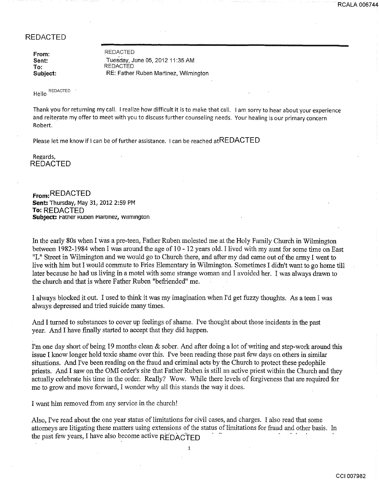## REDACTED

From: Sent: To: Subject:

REDACTED Tuesday, June 05, 2012 11:35 AM **REDACTED** RE: Father Ruben Martinez, Wilmington

Hello REDACTED

Thank you for returning my call. I realize how difficult it is to make that call. I am sorry to hear about your experience and reiterate my offer to meet with you to discuss further counseling needs. Your healing is our primary concern Robert.

Please let me know if I can be of further assistance. I can be reached atREDACTED

Regards, REDACTED

**From:** REDACTED **Sent: Thursday, May 31, 2012 2:59 PM To:** REDACTED Subject: **Father Ruben Martinez**, wilmington

In the early 80s when I was a pre-teen, Father Ruben molested me at the Holy Family Church in Wilmington between 1982-1984 when I was around the age of 10 - 12 years old. I lived with my aunt for some time on East "L" Street in Wilmington and we would go to Church there, and after my dad came out of the army I went to live with him but I would commute to Fries Elementary in Wilmington. Sometimes I didn't want to go home till later because he had us living in a motel with some strange woman and I avoided her. I was always drawn to the church and that is where Father Ruben "befriended" me.

I always blocked it out. I used to think it was my imagination when I'd get fuzzy thoughts. As a teen I was always depressed and tried suicide many times.

And I turned to substances to cover up feelings of shame. I've thought about those incidents in the past year. And I have finally started to accept that they did happen.

I'm one day short of being 19 months clean & sober. And after doing a lot of writing and step-work around this issue I know longer hold toxic shame over this. I've been reading these past few days on others in similar situations. And I've been reading on the fraud and criminal acts by the Church to protect these pedophile priests. And I saw on the OMI order's site that Father Ruben is still an active priest within the Church and they actually celebrate his time in the order. Really? Wow. While there levels of forgiveness that are required for me to grow and move forward, I wonder why all this stands the way it does.

I want him removed from any service in the church!

Also, I've read about the one year status of limitations for civil cases, and charges. I also read that some attorneys are litigating these matters using extensions of the status of limitations for fraud and other basis. In the past few years, I have also become active  $\overrightarrow{R}$ 

1